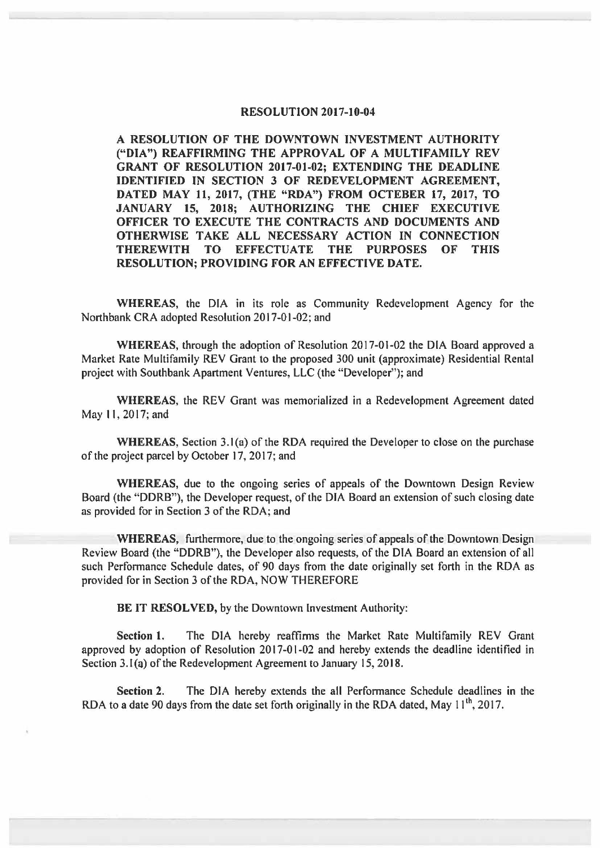## **RESOLUTION 2017-10-04**

**A RESOLUTION OF THE DOWNTOWN INVESTMENT AUTHORITY ("DIA") REAFFIRMING THE APPROVAL OF A MULTIFAMILY REV GRANT OF RESOLUTION 2017-01-02; EXTENDING THE DEADLINE IDENTIFIED IN SECTION 3 OF REDEVELOPMENT AGREEMENT, DATED MAY 11, 2017, (THE "RDA") FROM OCTEBER 17, 2017, TO JANUARY 15, 2018; AUTHORIZING THE CHIEF EXECUTIVE OFFICER TO EXECUTE THE CONTRACTS AND DOCUMENTS AND OTHERWISE TAKE ALL NECESSARY ACTION IN CONNECTION THEREWITH TO EFFECTUATE THE PURPOSES OF THIS RESOLUTION; PROVIDING FOR AN EFFECTIVE DATE.** 

**WHEREAS,** the DIA in its role as Community Redevelopment Agency for the Northbank CRA adopted Resolution 2017-01-02; and

**WHEREAS,** through the adoption of Resolution 2017-01-02 the DIA Board approved a Market Rate Multifamily REV Grant to the proposed 300 unit (approximate) Residential Rental project with Southbank Apartment Ventures, LLC (the "Developer"); and

**WHEREAS,** the REV Grant was memorialized in a Redevelopment Agreement dated May I I, 2017; and

**WHEREAS,** Section 3.1 (a) of the RDA required the Developer to close on the purchase of the project parcel by October 17, 2017; and

**WHEREAS,** due to the ongoing series of appeals of the Downtown Design Review Board (the "DDRB"), the Developer request, of the DIA Board an extension of such closing date as provided for in Section 3 of the RDA; and

**WHEREAS,** furthermore, due to the ongoing series of appeals of the Downtown Design Review Board (the "DDRB"), the Developer also requests, of the DIA Board an extension of all such Performance Schedule dates, of 90 days from the date originally set forth in the RDA as provided for in Section 3 of the RDA, NOW THEREFORE

**BE IT RESOLVED,** by the Downtown Investment Authority:

**Section 1.** The DIA hereby reaffirms the Market Rate Multifamily REV Grant approved by adoption of Resolution 2017-01-02 and hereby extends the deadline identified in Section 3.1(a) of the Redevelopment Agreement to January 15, 2018.

**Section 2.** The DIA hereby extends the all Performance Schedule deadlines in the RDA to a date 90 days from the date set forth originally in the RDA dated, May  $11^{th}$ , 2017.